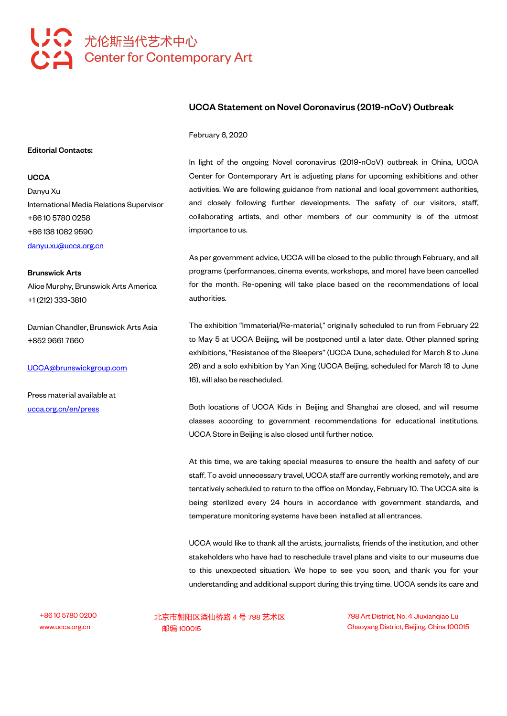## 第六 尤伦斯当代艺术中心 **Center for Contemporary Art**

## UCCA Statement on Novel Coronavirus (2019-nCoV) Outbreak

February 6, 2020

In light of the ongoing Novel coronavirus (2019-nCoV) outbreak in China, UCCA Center for Contemporary Art is adjusting plans for upcoming exhibitions and other activities. We are following guidance from national and local government authorities, and closely following further developments. The safety of our visitors, staff, collaborating artists, and other members of our community is of the utmost importance to us.

As per government advice, UCCA will be closed to the public through February, and all programs (performances, cinema events, workshops, and more) have been cancelled for the month. Re-opening will take place based on the recommendations of local authorities.

The exhibition "Immaterial/Re-material," originally scheduled to run from February 22 to May 5 at UCCA Beijing, will be postponed until a later date. Other planned spring exhibitions, "Resistance of the Sleepers" (UCCA Dune, scheduled for March 8 to June 26) and a solo exhibition by Yan Xing (UCCA Beijing, scheduled for March 18 to June 16), will also be rescheduled.

Both locations of UCCA Kids in Beijing and Shanghai are closed, and will resume classes according to government recommendations for educational institutions. UCCA Store in Beijing is also closed until further notice.

At this time, we are taking special measures to ensure the health and safety of our staff. To avoid unnecessary travel, UCCA staff are currently working remotely, and are tentatively scheduled to return to the office on Monday, February 10. The UCCA site is being sterilized every 24 hours in accordance with government standards, and temperature monitoring systems have been installed at all entrances.

UCCA would like to thank all the artists, journalists, friends of the institution, and other stakeholders who have had to reschedule travel plans and visits to our museums due to this unexpected situation. We hope to see you soon, and thank you for your understanding and additional support during this trying time. UCCA sends its care and

+8610 5780 0200 北京市朝阳区酒仙桥路 4 号 798 艺术区 798 Art District, No. 4 Jiuxianqiao Lu www.ucca.org.cn 邮编 100015 Chaoyang District, Beijing, China 100015

Editorial Contacts:

## **UCCA**

Danyu Xu International Media Relations Supervisor +86 10 5780 0258 +86 138 1082 9590 [danyu.xu@ucca.org.cn](mailto:danyu.xu@ucca.org.cn)

Brunswick Arts Alice Murphy, Brunswick Arts America +1 (212) 333-3810

Damian Chandler, Brunswick Arts Asia +852 9661 7660

[UCCA@brunswickgroup.com](mailto:UCCA@brunswickgroup.com)

Press material available at <ucca.org.cn/en/press>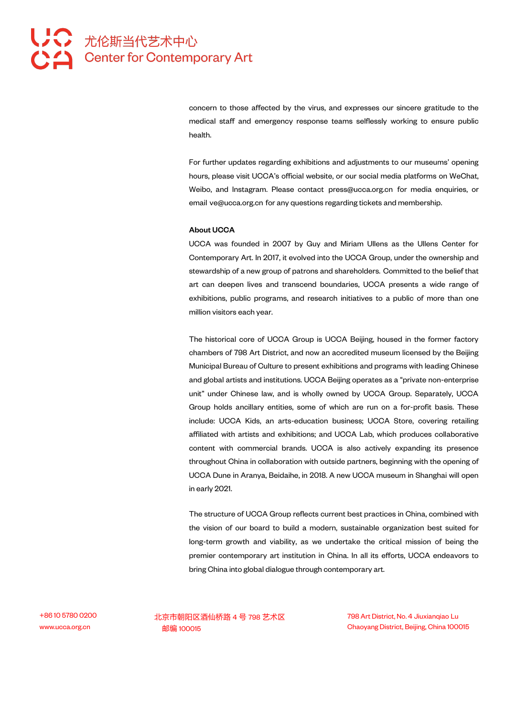concern to those affected by the virus, and expresses our sincere gratitude to the medical staff and emergency response teams selflessly working to ensure public health.

For further updates regarding exhibitions and adjustments to our museums' opening hours, please visit UCCA's official website, or our social media platforms on WeChat, Weibo, and Instagram. Please contact press@ucca.org.cn for media enquiries, or email ve@ucca.org.cn for any questions regarding tickets and membership.

## About UCCA

UCCA was founded in 2007 by Guy and Miriam Ullens as the Ullens Center for Contemporary Art. In 2017, it evolved into the UCCA Group, under the ownership and stewardship of a new group of patrons and shareholders. Committed to the belief that art can deepen lives and transcend boundaries, UCCA presents a wide range of exhibitions, public programs, and research initiatives to a public of more than one million visitors each year.

The historical core of UCCA Group is UCCA Beijing, housed in the former factory chambers of 798 Art District, and now an accredited museum licensed bythe Beijing Municipal Bureau of Culture to present exhibitions and programs with leading Chinese and global artists and institutions. UCCA Beijing operates as a "private non-enterprise unit" under Chinese law, and is wholly owned by UCCA Group. Separately, UCCA Group holds ancillary entities, some of which are run on a for-profit basis. These include: UCCA Kids, an arts-education business; UCCA Store, covering retailing affiliated with artists and exhibitions; and UCCA Lab, which produces collaborative content with commercial brands. UCCA is also actively expanding its presence throughout China in collaboration with outside partners, beginning with the opening of UCCA Dune in Aranya, Beidaihe, in 2018. A new UCCA museum in Shanghai will open in early 2021.

The structure of UCCA Group reflects current best practices in China, combined with the vision of our board to build a modern, sustainable organization best suited for long-term growth and viability, as we undertake the critical mission of being the premier contemporary art institution in China. In all its efforts, UCCA endeavors to bring China into global dialogue through contemporary art.

+8610 5780 0200 北京市朝阳区酒仙桥路 4 号 798 艺术区 798 Art District, No. 4 Jiuxianqiao Lu www.ucca.org.cn 邮编 100015 Chaoyang District, Beijing, China 100015